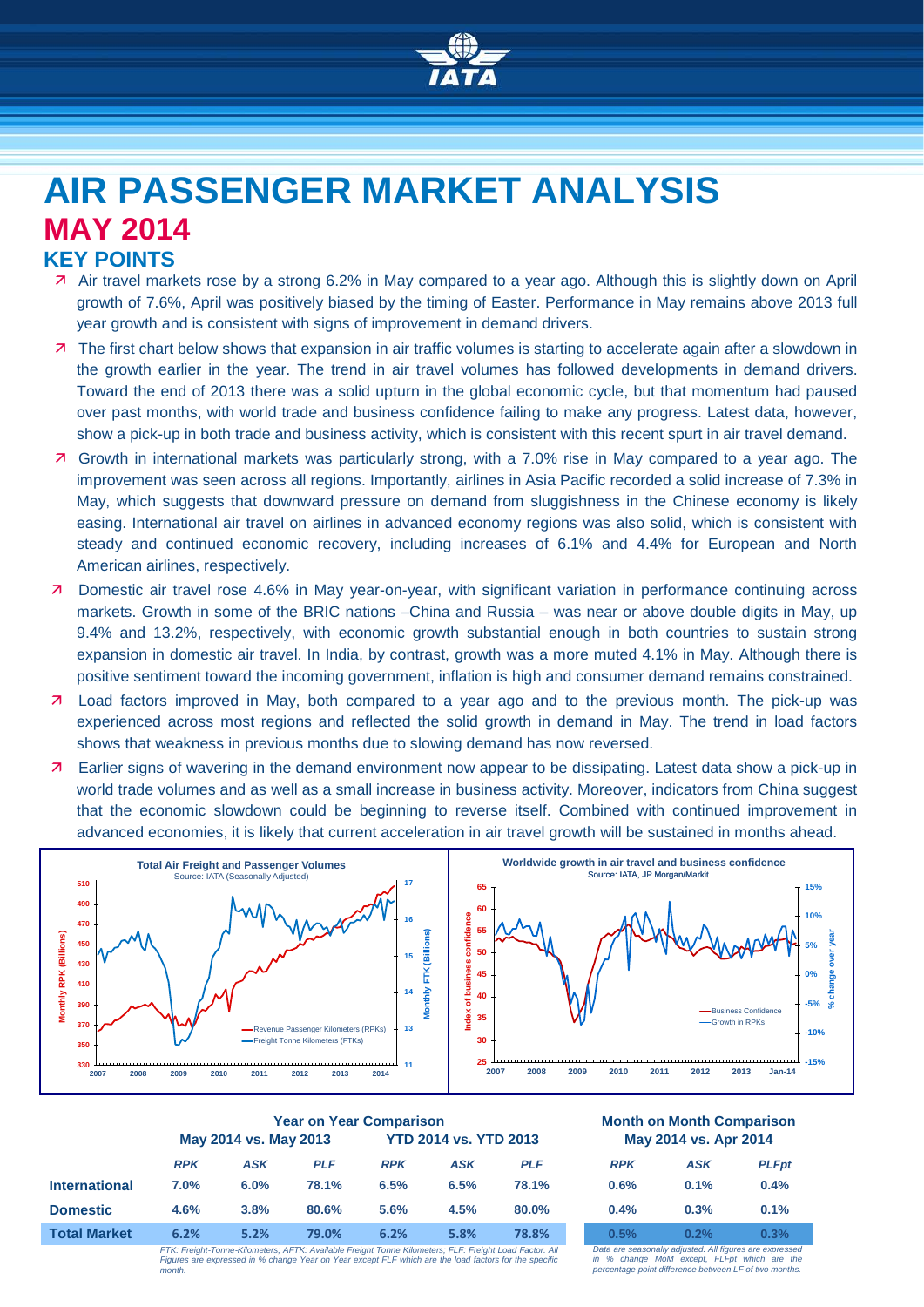

# **AIR PASSENGER MARKET ANALYSIS MAY 2014**

# **KEY POINTS**

- Air travel markets rose by a strong 6.2% in May compared to a year ago. Although this is slightly down on April growth of 7.6%, April was positively biased by the timing of Easter. Performance in May remains above 2013 full year growth and is consistent with signs of improvement in demand drivers.
- 7 The first chart below shows that expansion in air traffic volumes is starting to accelerate again after a slowdown in the growth earlier in the year. The trend in air travel volumes has followed developments in demand drivers. Toward the end of 2013 there was a solid upturn in the global economic cycle, but that momentum had paused over past months, with world trade and business confidence failing to make any progress. Latest data, however, show a pick-up in both trade and business activity, which is consistent with this recent spurt in air travel demand.
- Growth in international markets was particularly strong, with a 7.0% rise in May compared to a year ago. The improvement was seen across all regions. Importantly, airlines in Asia Pacific recorded a solid increase of 7.3% in May, which suggests that downward pressure on demand from sluggishness in the Chinese economy is likely easing. International air travel on airlines in advanced economy regions was also solid, which is consistent with steady and continued economic recovery, including increases of 6.1% and 4.4% for European and North American airlines, respectively.
- Domestic air travel rose 4.6% in May year-on-year, with significant variation in performance continuing across markets. Growth in some of the BRIC nations –China and Russia – was near or above double digits in May, up 9.4% and 13.2%, respectively, with economic growth substantial enough in both countries to sustain strong expansion in domestic air travel. In India, by contrast, growth was a more muted 4.1% in May. Although there is positive sentiment toward the incoming government, inflation is high and consumer demand remains constrained.
- **7** Load factors improved in May, both compared to a year ago and to the previous month. The pick-up was experienced across most regions and reflected the solid growth in demand in May. The trend in load factors shows that weakness in previous months due to slowing demand has now reversed.
- Earlier signs of wavering in the demand environment now appear to be dissipating. Latest data show a pick-up in world trade volumes and as well as a small increase in business activity. Moreover, indicators from China suggest that the economic slowdown could be beginning to reverse itself. Combined with continued improvement in advanced economies, it is likely that current acceleration in air travel growth will be sustained in months ahead.



|                      | <b>Year on Year Comparison</b> |            |                                                                                                        |                              |            |            | <b>Month on Month Comparisor</b><br>May 2014 vs. Apr 2014 |                                                      |             |
|----------------------|--------------------------------|------------|--------------------------------------------------------------------------------------------------------|------------------------------|------------|------------|-----------------------------------------------------------|------------------------------------------------------|-------------|
|                      | May 2014 vs. May 2013          |            |                                                                                                        | <b>YTD 2014 vs. YTD 2013</b> |            |            |                                                           |                                                      |             |
|                      | <b>RPK</b>                     | <b>ASK</b> | <b>PLF</b>                                                                                             | <b>RPK</b>                   | <b>ASK</b> | <b>PLF</b> | <b>RPK</b>                                                | <b>ASK</b>                                           | <b>PLFp</b> |
| <b>International</b> | $7.0\%$                        | 6.0%       | 78.1%                                                                                                  | 6.5%                         | 6.5%       | 78.1%      | 0.6%                                                      | 0.1%                                                 | 0.4%        |
| <b>Domestic</b>      | 4.6%                           | 3.8%       | 80.6%                                                                                                  | 5.6%                         | 4.5%       | 80.0%      | 0.4%                                                      | 0.3%                                                 | 0.1%        |
| <b>Total Market</b>  | 6.2%                           | 5.2%       | 79.0%                                                                                                  | 6.2%                         | 5.8%       | 78.8%      | 0.5%                                                      | 0.2%                                                 | 0.3%        |
|                      |                                |            | FTK: Fraight Tonna Kilomatora: AFTK: Available Fraight Tonna Kilomatora: FLF: Fraight Load Footar, All |                              |            |            |                                                           | Data am seggenally adjusted. All figures are evening |             |

*FTK: Freight-Tonne-Kilometers; AFTK: Available Freight Tonne Kilometers; FLF: Freight Load Factor. All Figures are expressed in % change Year on Year except FLF which are the load factors for the specific month.*

#### **Year on Year Comparison Month on Month Comparison May 2014 vs. Apr 2014**

| <b>RPK</b> | <b>ASK</b> | <b>PLFpt</b> |
|------------|------------|--------------|
| 0.6%       | 0.1%       | 0.4%         |
| 0.4%       | 0.3%       | 0.1%         |
| 0.5%       | 0.2%       | 0.3%         |

*Data are seasonally adjusted. All figures are expressed in % change MoM except, FLFpt which are the percentage point difference between LF of two months.*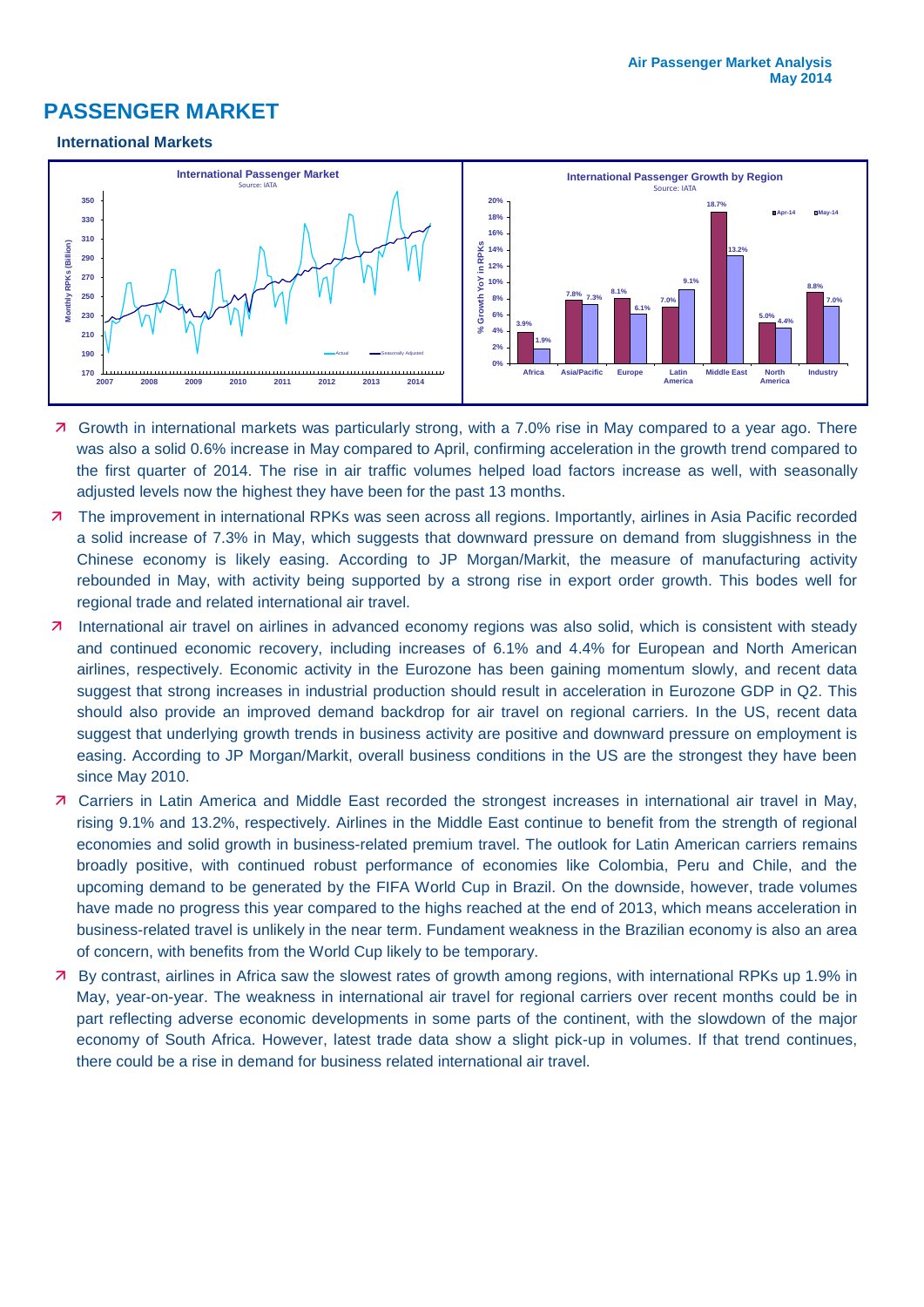# **PASSENGER MARKET**

#### **International Markets**



- 7 Growth in international markets was particularly strong, with a 7.0% rise in May compared to a year ago. There was also a solid 0.6% increase in May compared to April, confirming acceleration in the growth trend compared to the first quarter of 2014. The rise in air traffic volumes helped load factors increase as well, with seasonally adjusted levels now the highest they have been for the past 13 months.
- 7 The improvement in international RPKs was seen across all regions. Importantly, airlines in Asia Pacific recorded a solid increase of 7.3% in May, which suggests that downward pressure on demand from sluggishness in the Chinese economy is likely easing. According to JP Morgan/Markit, the measure of manufacturing activity rebounded in May, with activity being supported by a strong rise in export order growth. This bodes well for regional trade and related international air travel.
- 7 International air travel on airlines in advanced economy regions was also solid, which is consistent with steady and continued economic recovery, including increases of 6.1% and 4.4% for European and North American airlines, respectively. Economic activity in the Eurozone has been gaining momentum slowly, and recent data suggest that strong increases in industrial production should result in acceleration in Eurozone GDP in Q2. This should also provide an improved demand backdrop for air travel on regional carriers. In the US, recent data suggest that underlying growth trends in business activity are positive and downward pressure on employment is easing. According to JP Morgan/Markit, overall business conditions in the US are the strongest they have been since May 2010.
- Carriers in Latin America and Middle East recorded the strongest increases in international air travel in May, rising 9.1% and 13.2%, respectively. Airlines in the Middle East continue to benefit from the strength of regional economies and solid growth in business-related premium travel. The outlook for Latin American carriers remains broadly positive, with continued robust performance of economies like Colombia, Peru and Chile, and the upcoming demand to be generated by the FIFA World Cup in Brazil. On the downside, however, trade volumes have made no progress this year compared to the highs reached at the end of 2013, which means acceleration in business-related travel is unlikely in the near term. Fundament weakness in the Brazilian economy is also an area of concern, with benefits from the World Cup likely to be temporary.
- By contrast, airlines in Africa saw the slowest rates of growth among regions, with international RPKs up 1.9% in May, year-on-year. The weakness in international air travel for regional carriers over recent months could be in part reflecting adverse economic developments in some parts of the continent, with the slowdown of the major economy of South Africa. However, latest trade data show a slight pick-up in volumes. If that trend continues, there could be a rise in demand for business related international air travel.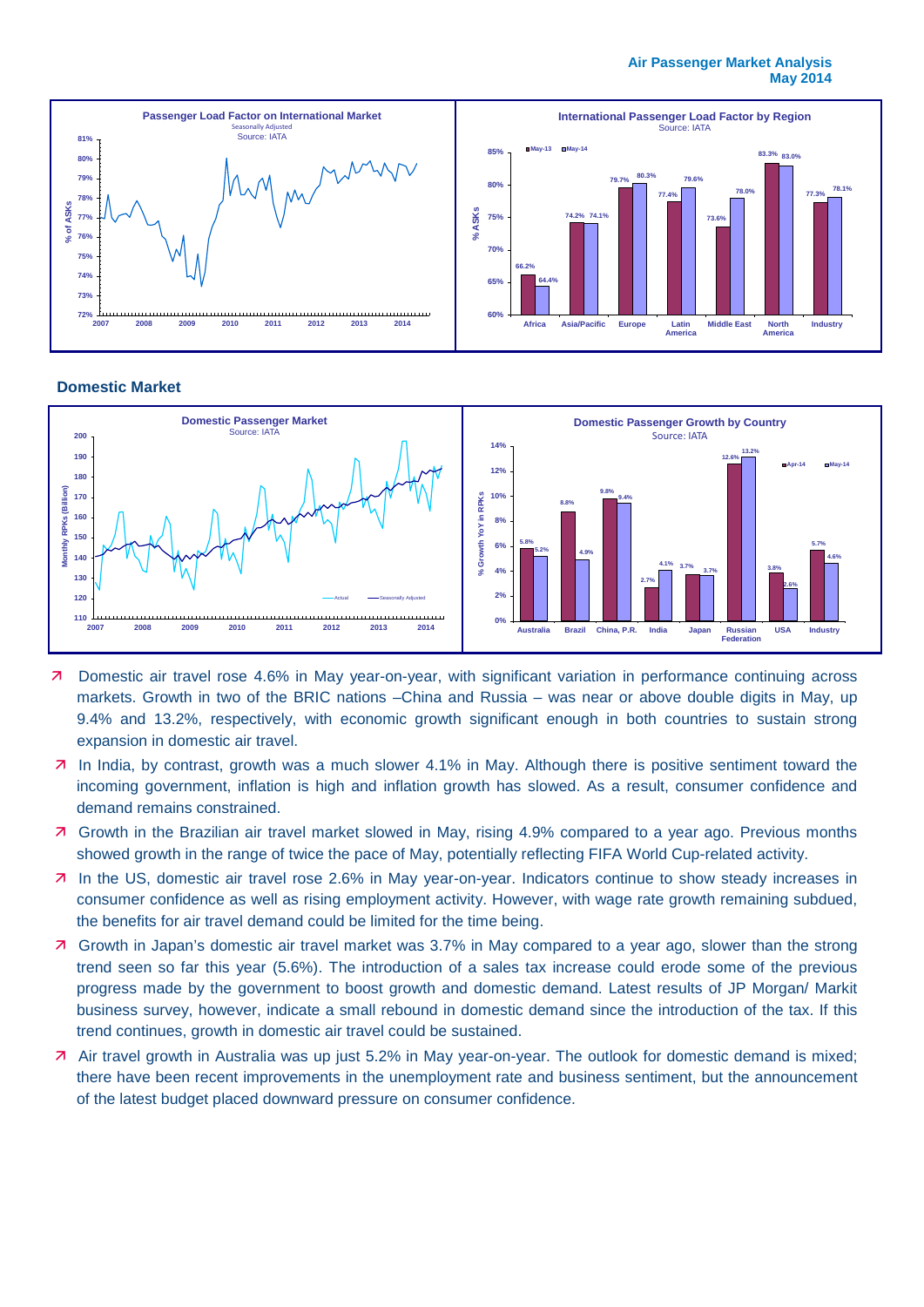#### **Air Passenger Market Analysis May 2014**



#### **Domestic Market**



- Domestic air travel rose 4.6% in May year-on-year, with significant variation in performance continuing across markets. Growth in two of the BRIC nations –China and Russia – was near or above double digits in May, up 9.4% and 13.2%, respectively, with economic growth significant enough in both countries to sustain strong expansion in domestic air travel.
- In India, by contrast, growth was a much slower 4.1% in May. Although there is positive sentiment toward the incoming government, inflation is high and inflation growth has slowed. As a result, consumer confidence and demand remains constrained.
- Growth in the Brazilian air travel market slowed in May, rising 4.9% compared to a year ago. Previous months showed growth in the range of twice the pace of May, potentially reflecting FIFA World Cup-related activity.
- In the US, domestic air travel rose 2.6% in May year-on-year. Indicators continue to show steady increases in consumer confidence as well as rising employment activity. However, with wage rate growth remaining subdued, the benefits for air travel demand could be limited for the time being.
- Growth in Japan's domestic air travel market was 3.7% in May compared to a year ago, slower than the strong trend seen so far this year (5.6%). The introduction of a sales tax increase could erode some of the previous progress made by the government to boost growth and domestic demand. Latest results of JP Morgan/ Markit business survey, however, indicate a small rebound in domestic demand since the introduction of the tax. If this trend continues, growth in domestic air travel could be sustained.
- Air travel growth in Australia was up just 5.2% in May year-on-year. The outlook for domestic demand is mixed; there have been recent improvements in the unemployment rate and business sentiment, but the announcement of the latest budget placed downward pressure on consumer confidence.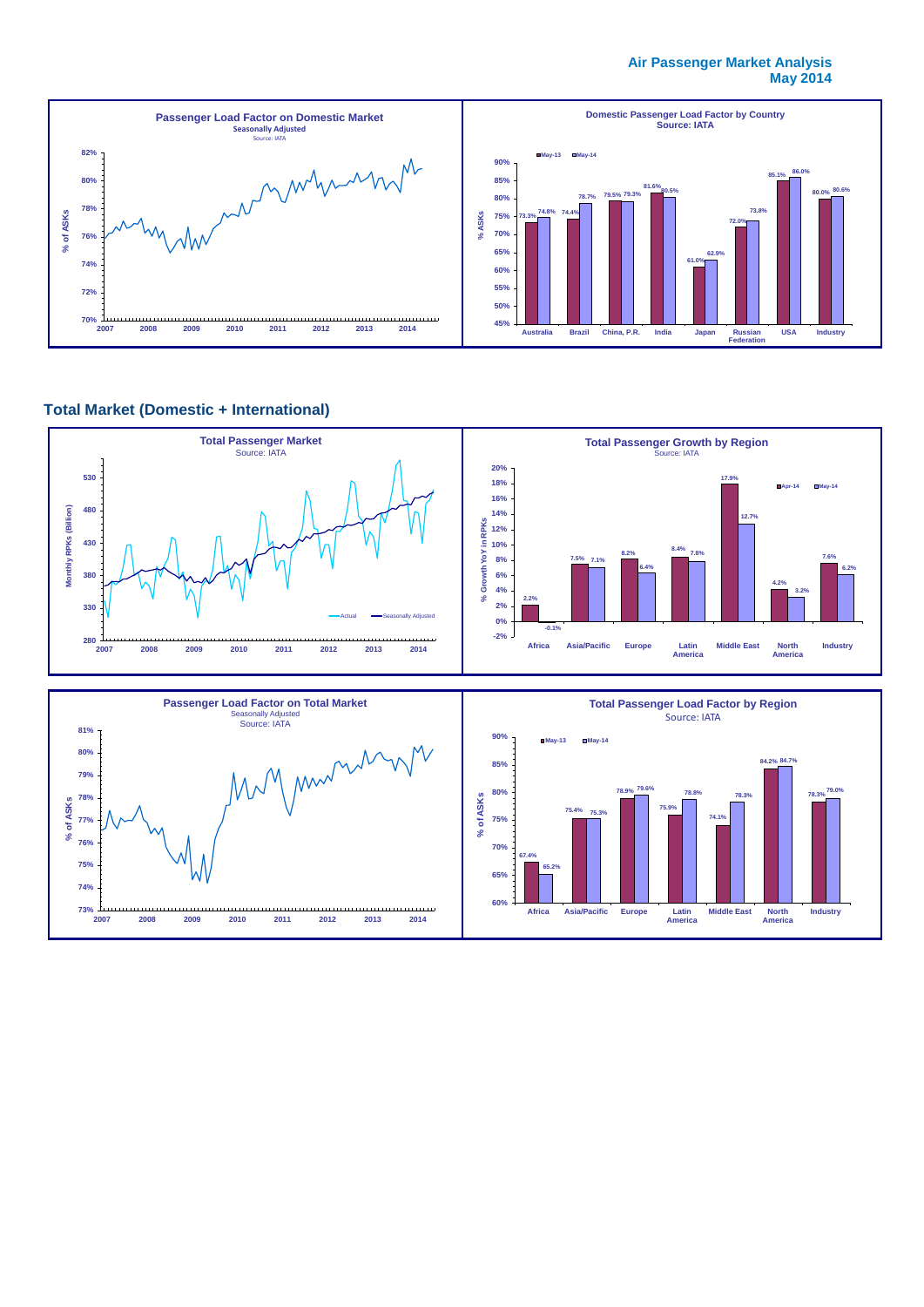#### **Air Passenger Market Analysis May 2014**



## **Total Market (Domestic + International)**

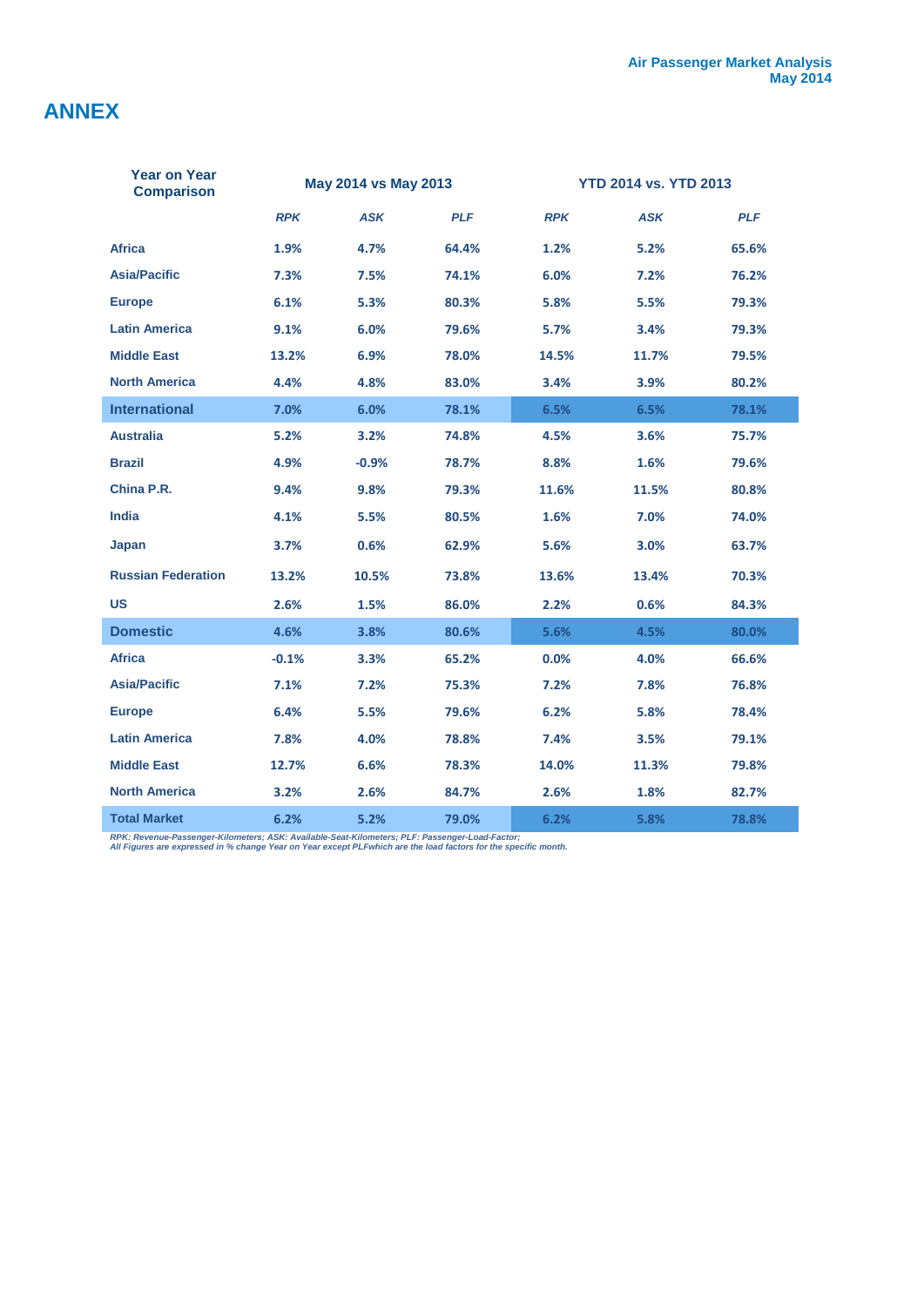# **ANNEX**

| <b>Year on Year</b><br><b>Comparison</b> | May 2014 vs May 2013 |            | <b>YTD 2014 vs. YTD 2013</b> |            |            |            |
|------------------------------------------|----------------------|------------|------------------------------|------------|------------|------------|
|                                          | <b>RPK</b>           | <b>ASK</b> | <b>PLF</b>                   | <b>RPK</b> | <b>ASK</b> | <b>PLF</b> |
| <b>Africa</b>                            | 1.9%                 | 4.7%       | 64.4%                        | 1.2%       | 5.2%       | 65.6%      |
| <b>Asia/Pacific</b>                      | 7.3%                 | 7.5%       | 74.1%                        | 6.0%       | 7.2%       | 76.2%      |
| <b>Europe</b>                            | 6.1%                 | 5.3%       | 80.3%                        | 5.8%       | 5.5%       | 79.3%      |
| <b>Latin America</b>                     | 9.1%                 | 6.0%       | 79.6%                        | 5.7%       | 3.4%       | 79.3%      |
| <b>Middle East</b>                       | 13.2%                | 6.9%       | 78.0%                        | 14.5%      | 11.7%      | 79.5%      |
| <b>North America</b>                     | 4.4%                 | 4.8%       | 83.0%                        | 3.4%       | 3.9%       | 80.2%      |
| <b>International</b>                     | 7.0%                 | 6.0%       | 78.1%                        | 6.5%       | 6.5%       | 78.1%      |
| <b>Australia</b>                         | 5.2%                 | 3.2%       | 74.8%                        | 4.5%       | 3.6%       | 75.7%      |
| <b>Brazil</b>                            | 4.9%                 | $-0.9%$    | 78.7%                        | 8.8%       | 1.6%       | 79.6%      |
| China P.R.                               | 9.4%                 | 9.8%       | 79.3%                        | 11.6%      | 11.5%      | 80.8%      |
| <b>India</b>                             | 4.1%                 | 5.5%       | 80.5%                        | 1.6%       | 7.0%       | 74.0%      |
| Japan                                    | 3.7%                 | 0.6%       | 62.9%                        | 5.6%       | 3.0%       | 63.7%      |
| <b>Russian Federation</b>                | 13.2%                | 10.5%      | 73.8%                        | 13.6%      | 13.4%      | 70.3%      |
| US                                       | 2.6%                 | 1.5%       | 86.0%                        | 2.2%       | 0.6%       | 84.3%      |
| <b>Domestic</b>                          | 4.6%                 | 3.8%       | 80.6%                        | 5.6%       | 4.5%       | 80.0%      |
| <b>Africa</b>                            | $-0.1%$              | 3.3%       | 65.2%                        | 0.0%       | 4.0%       | 66.6%      |
| <b>Asia/Pacific</b>                      | 7.1%                 | 7.2%       | 75.3%                        | 7.2%       | 7.8%       | 76.8%      |
| <b>Europe</b>                            | 6.4%                 | 5.5%       | 79.6%                        | 6.2%       | 5.8%       | 78.4%      |
| <b>Latin America</b>                     | 7.8%                 | 4.0%       | 78.8%                        | 7.4%       | 3.5%       | 79.1%      |
| <b>Middle East</b>                       | 12.7%                | 6.6%       | 78.3%                        | 14.0%      | 11.3%      | 79.8%      |
| <b>North America</b>                     | 3.2%                 | 2.6%       | 84.7%                        | 2.6%       | 1.8%       | 82.7%      |
| <b>Total Market</b>                      | 6.2%                 | 5.2%       | 79.0%                        | 6.2%       | 5.8%       | 78.8%      |

*RPK: Revenue-Passenger-Kilometers; ASK: Available-Seat-Kilometers; PLF: Passenger-Load-Factor; All Figures are expressed in % change Year on Year except PLFwhich are the load factors for the specific month.*